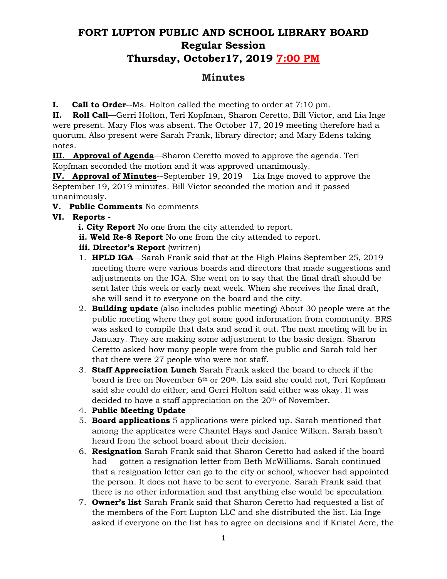# **FORT LUPTON PUBLIC AND SCHOOL LIBRARY BOARD Regular Session Thursday, October17, 2019 7:00 PM**

# **Minutes**

**I. Call to Order**--Ms. Holton called the meeting to order at 7:10 pm.

**II. Roll Call**—Gerri Holton, Teri Kopfman, Sharon Ceretto, Bill Victor, and Lia Inge were present. Mary Flos was absent. The October 17, 2019 meeting therefore had a quorum. Also present were Sarah Frank, library director; and Mary Edens taking notes.

**III. Approval of Agenda**—Sharon Ceretto moved to approve the agenda. Teri Kopfman seconded the motion and it was approved unanimously.

**IV. Approval of Minutes**--September 19, 2019 Lia Inge moved to approve the September 19, 2019 minutes. Bill Victor seconded the motion and it passed unanimously.

# **V. Public Comments** No comments

# **VI. Reports -**

- **i. City Report** No one from the city attended to report.
- **ii. Weld Re-8 Report** No one from the city attended to report.
- **iii. Director's Report** (written)
- 1. **HPLD IGA**—Sarah Frank said that at the High Plains September 25, 2019 meeting there were various boards and directors that made suggestions and adjustments on the IGA. She went on to say that the final draft should be sent later this week or early next week. When she receives the final draft, she will send it to everyone on the board and the city.
- 2. **Building update** (also includes public meeting) About 30 people were at the public meeting where they got some good information from community. BRS was asked to compile that data and send it out. The next meeting will be in January. They are making some adjustment to the basic design. Sharon Ceretto asked how many people were from the public and Sarah told her that there were 27 people who were not staff.
- 3. **Staff Appreciation Lunch** Sarah Frank asked the board to check if the board is free on November  $6<sup>th</sup>$  or  $20<sup>th</sup>$ . Lia said she could not, Teri Kopfman said she could do either, and Gerri Holton said either was okay. It was decided to have a staff appreciation on the 20th of November.
- 4. **Public Meeting Update**
- 5. **Board applications** 5 applications were picked up. Sarah mentioned that among the applicates were Chantel Hays and Janice Wilken. Sarah hasn't heard from the school board about their decision.
- 6. **Resignation** Sarah Frank said that Sharon Ceretto had asked if the board had gotten a resignation letter from Beth McWilliams. Sarah continued that a resignation letter can go to the city or school, whoever had appointed the person. It does not have to be sent to everyone. Sarah Frank said that there is no other information and that anything else would be speculation.
- 7. **Owner's list** Sarah Frank said that Sharon Ceretto had requested a list of the members of the Fort Lupton LLC and she distributed the list. Lia Inge asked if everyone on the list has to agree on decisions and if Kristel Acre, the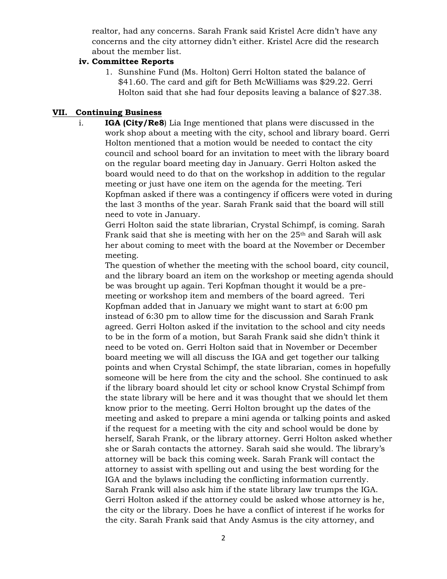realtor, had any concerns. Sarah Frank said Kristel Acre didn't have any concerns and the city attorney didn't either. Kristel Acre did the research about the member list.

#### **iv. Committee Reports**

1. Sunshine Fund (Ms. Holton) Gerri Holton stated the balance of \$41.60. The card and gift for Beth McWilliams was \$29.22. Gerri Holton said that she had four deposits leaving a balance of \$27.38.

### **VII. Continuing Business**

i. **IGA (City/Re8**) Lia Inge mentioned that plans were discussed in the work shop about a meeting with the city, school and library board. Gerri Holton mentioned that a motion would be needed to contact the city council and school board for an invitation to meet with the library board on the regular board meeting day in January. Gerri Holton asked the board would need to do that on the workshop in addition to the regular meeting or just have one item on the agenda for the meeting. Teri Kopfman asked if there was a contingency if officers were voted in during the last 3 months of the year. Sarah Frank said that the board will still need to vote in January.

Gerri Holton said the state librarian, Crystal Schimpf, is coming. Sarah Frank said that she is meeting with her on the  $25<sup>th</sup>$  and Sarah will ask her about coming to meet with the board at the November or December meeting.

The question of whether the meeting with the school board, city council, and the library board an item on the workshop or meeting agenda should be was brought up again. Teri Kopfman thought it would be a premeeting or workshop item and members of the board agreed. Teri Kopfman added that in January we might want to start at 6:00 pm instead of 6:30 pm to allow time for the discussion and Sarah Frank agreed. Gerri Holton asked if the invitation to the school and city needs to be in the form of a motion, but Sarah Frank said she didn't think it need to be voted on. Gerri Holton said that in November or December board meeting we will all discuss the IGA and get together our talking points and when Crystal Schimpf, the state librarian, comes in hopefully someone will be here from the city and the school. She continued to ask if the library board should let city or school know Crystal Schimpf from the state library will be here and it was thought that we should let them know prior to the meeting. Gerri Holton brought up the dates of the meeting and asked to prepare a mini agenda or talking points and asked if the request for a meeting with the city and school would be done by herself, Sarah Frank, or the library attorney. Gerri Holton asked whether she or Sarah contacts the attorney. Sarah said she would. The library's attorney will be back this coming week. Sarah Frank will contact the attorney to assist with spelling out and using the best wording for the IGA and the bylaws including the conflicting information currently. Sarah Frank will also ask him if the state library law trumps the IGA. Gerri Holton asked if the attorney could be asked whose attorney is he, the city or the library. Does he have a conflict of interest if he works for the city. Sarah Frank said that Andy Asmus is the city attorney, and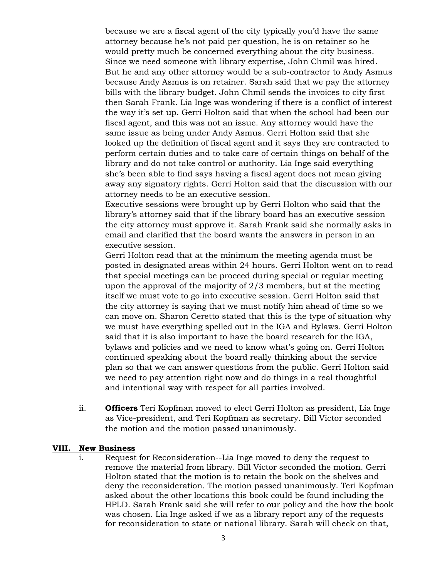because we are a fiscal agent of the city typically you'd have the same attorney because he's not paid per question, he is on retainer so he would pretty much be concerned everything about the city business. Since we need someone with library expertise, John Chmil was hired. But he and any other attorney would be a sub-contractor to Andy Asmus because Andy Asmus is on retainer. Sarah said that we pay the attorney bills with the library budget. John Chmil sends the invoices to city first then Sarah Frank. Lia Inge was wondering if there is a conflict of interest the way it's set up. Gerri Holton said that when the school had been our fiscal agent, and this was not an issue. Any attorney would have the same issue as being under Andy Asmus. Gerri Holton said that she looked up the definition of fiscal agent and it says they are contracted to perform certain duties and to take care of certain things on behalf of the library and do not take control or authority. Lia Inge said everything she's been able to find says having a fiscal agent does not mean giving away any signatory rights. Gerri Holton said that the discussion with our attorney needs to be an executive session.

Executive sessions were brought up by Gerri Holton who said that the library's attorney said that if the library board has an executive session the city attorney must approve it. Sarah Frank said she normally asks in email and clarified that the board wants the answers in person in an executive session.

Gerri Holton read that at the minimum the meeting agenda must be posted in designated areas within 24 hours. Gerri Holton went on to read that special meetings can be proceed during special or regular meeting upon the approval of the majority of 2/3 members, but at the meeting itself we must vote to go into executive session. Gerri Holton said that the city attorney is saying that we must notify him ahead of time so we can move on. Sharon Ceretto stated that this is the type of situation why we must have everything spelled out in the IGA and Bylaws. Gerri Holton said that it is also important to have the board research for the IGA, bylaws and policies and we need to know what's going on. Gerri Holton continued speaking about the board really thinking about the service plan so that we can answer questions from the public. Gerri Holton said we need to pay attention right now and do things in a real thoughtful and intentional way with respect for all parties involved.

ii. **Officers** Teri Kopfman moved to elect Gerri Holton as president, Lia Inge as Vice-president, and Teri Kopfman as secretary. Bill Victor seconded the motion and the motion passed unanimously.

#### **VIII. New Business**

i. Request for Reconsideration--Lia Inge moved to deny the request to remove the material from library. Bill Victor seconded the motion. Gerri Holton stated that the motion is to retain the book on the shelves and deny the reconsideration. The motion passed unanimously. Teri Kopfman asked about the other locations this book could be found including the HPLD. Sarah Frank said she will refer to our policy and the how the book was chosen. Lia Inge asked if we as a library report any of the requests for reconsideration to state or national library. Sarah will check on that,